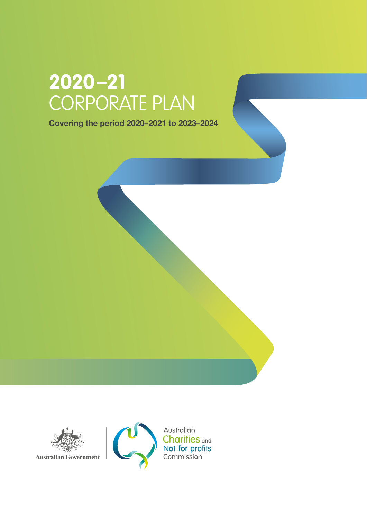# **2020–21**  CORPORATE PLAN

Covering the period 2020–2021 to 2023–2024



**Australian Government** 

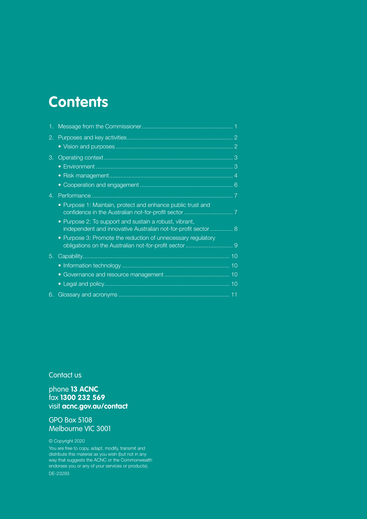## **Contents**

| 1. |                                                                                                                         |  |
|----|-------------------------------------------------------------------------------------------------------------------------|--|
| 2. |                                                                                                                         |  |
|    |                                                                                                                         |  |
| 3. |                                                                                                                         |  |
|    |                                                                                                                         |  |
|    | $\bullet$                                                                                                               |  |
|    |                                                                                                                         |  |
| 4. |                                                                                                                         |  |
|    | • Purpose 1: Maintain, protect and enhance public trust and                                                             |  |
|    | • Purpose 2: To support and sustain a robust, vibrant,<br>independent and innovative Australian not-for-profit sector 8 |  |
|    | • Purpose 3: Promote the reduction of unnecessary regulatory                                                            |  |
| 5. |                                                                                                                         |  |
|    |                                                                                                                         |  |
|    | $\bullet$                                                                                                               |  |
|    | $\bullet$                                                                                                               |  |
| 6. |                                                                                                                         |  |

Contact us

phone **13 ACNC** fax **1300 232 569** visit **acnc.gov.au/contact**

GPO Box 5108 Melbourne VIC 3001

© Copyright 2020

You are free to copy, adapt, modify, transmit and distribute this material as you wish (but not in any way that suggests the ACNC or the Commonwealth endorses you or any of your services or products). DE-23293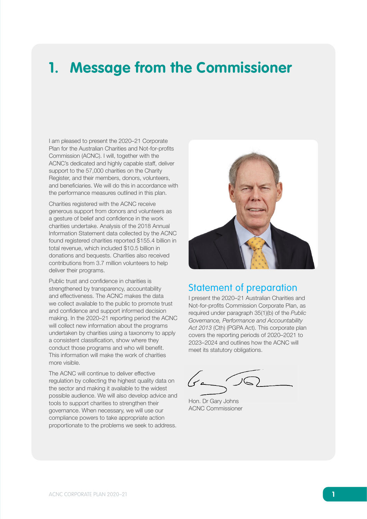## <span id="page-2-0"></span>**1. Message from the Commissioner**

I am pleased to present the 2020–21 Corporate Plan for the Australian Charities and Not-for-profits Commission (ACNC). I will, together with the ACNC's dedicated and highly capable staff, deliver support to the 57,000 charities on the Charity Register, and their members, donors, volunteers, and beneficiaries. We will do this in accordance with the performance measures outlined in this plan.

Charities registered with the ACNC receive generous support from donors and volunteers as a gesture of belief and confidence in the work charities undertake. Analysis of the 2018 Annual Information Statement data collected by the ACNC found registered charities reported \$155.4 billion in total revenue, which included \$10.5 billion in donations and bequests. Charities also received contributions from 3.7 million volunteers to help deliver their programs.

Public trust and confidence in charities is strengthened by transparency, accountability and effectiveness. The ACNC makes the data we collect available to the public to promote trust and confidence and support informed decision making. In the 2020–21 reporting period the ACNC will collect new information about the programs undertaken by charities using a taxonomy to apply a consistent classification, show where they conduct those programs and who will benefit. This information will make the work of charities more visible.

The ACNC will continue to deliver effective regulation by collecting the highest quality data on the sector and making it available to the widest possible audience. We will also develop advice and tools to support charities to strengthen their governance. When necessary, we will use our compliance powers to take appropriate action proportionate to the problems we seek to address.



### Statement of preparation

I present the 2020–21 Australian Charities and Not-for-profits Commission Corporate Plan, as required under paragraph 35(1)(b) of the *Public Governance, Performance and Accountability*  Act 2013 (Cth) (PGPA Act). This corporate plan covers the reporting periods of 2020–2021 to 2023–2024 and outlines how the ACNC will meet its statutory obligations.

Hon. Dr Gary Johns ACNC Commissioner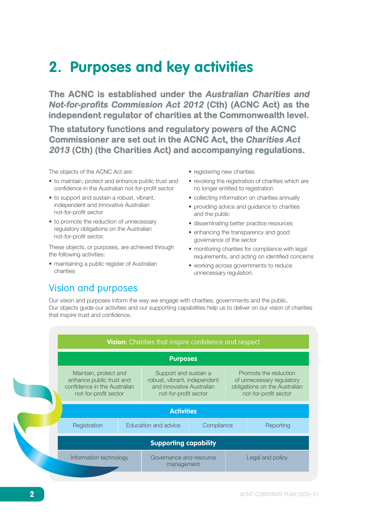## <span id="page-3-0"></span>**2. Purposes and key activities**

**The ACNC is established under the Australian Charities and Not-for-profits Commission Act 2012 (Cth) (ACNC Act) as the independent regulator of charities at the Commonwealth level.** 

**The statutory functions and regulatory powers of the ACNC Commissioner are set out in the ACNC Act, the Charities Act 2013 (Cth) (the Charities Act) and accompanying regulations.**

The objects of the ACNC Act are:

- to maintain, protect and enhance public trust and confidence in the Australian not-for-profit sector
- to support and sustain a robust, vibrant, independent and innovative Australian not-for-profit sector
- to promote the reduction of unnecessary regulatory obligations on the Australian not‑for‑profit sector.

These objects, or purposes, are achieved through the following activities:

• maintaining a public register of Australian charities

- registering new charities
- revoking the registration of charities which are no longer entitled to registration
- collecting information on charities annually
- providing advice and guidance to charities and the public
- disseminating better practice resources
- enhancing the transparency and good governance of the sector
- monitoring charities for compliance with legal requirements, and acting on identified concerns
- working across governments to reduce unnecessary regulation.

### Vision and purposes

Our vision and purposes inform the way we engage with charities, governments and the public. Our objects guide our activities and our supporting capabilities help us to deliver on our vision of charities that inspire trust and confidence.

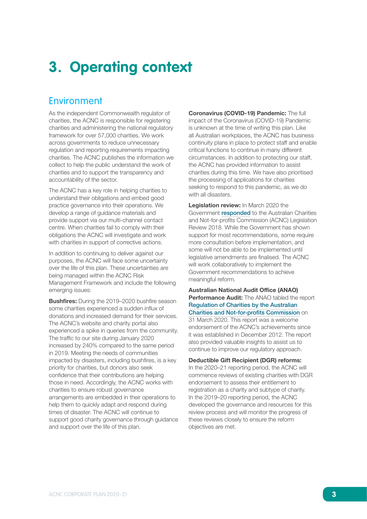## <span id="page-4-0"></span>**3. Operating context**

### Environment

As the independent Commonwealth regulator of charities, the ACNC is responsible for registering charities and administering the national regulatory framework for over 57,000 charities. We work across governments to reduce unnecessary regulation and reporting requirements impacting charities. The ACNC publishes the information we collect to help the public understand the work of charities and to support the transparency and accountability of the sector.

The ACNC has a key role in helping charities to understand their obligations and embed good practice governance into their operations. We develop a range of guidance materials and provide support via our multi-channel contact centre. When charities fail to comply with their obligations the ACNC will investigate and work with charities in support of corrective actions.

In addition to continuing to deliver against our purposes, the ACNC will face some uncertainty over the life of this plan. These uncertainties are being managed within the ACNC Risk Management Framework and include the following emerging issues:

Bushfires: During the 2019–2020 bushfire season some charities experienced a sudden influx of donations and increased demand for their services. The ACNC's website and charity portal also experienced a spike in queries from the community. The traffic to our site during January 2020 increased by 240% compared to the same period in 2019. Meeting the needs of communities impacted by disasters, including bushfires, is a key priority for charities, but donors also seek confidence that their contributions are helping those in need. Accordingly, the ACNC works with charities to ensure robust governance arrangements are embedded in their operations to help them to quickly adapt and respond during times of disaster. The ACNC will continue to support good charity governance through guidance and support over the life of this plan.

Coronavirus (COVID-19) Pandemic: The full impact of the Coronavirus (COVID-19) Pandemic is unknown at the time of writing this plan. Like all Australian workplaces, the ACNC has business continuity plans in place to protect staff and enable critical functions to continue in many different circumstances. In addition to protecting our staff, the ACNC has provided information to assist charities during this time. We have also prioritised the processing of applications for charities seeking to respond to this pandemic, as we do with all disasters.

Legislation review: In March 2020 the Government [responded](https://treasury.gov.au/sites/default/files/2020-03/p2020-61958-govt-response.pdf) to the Australian Charities and Not-for-profits Commission (ACNC) Legislation Review 2018. While the Government has shown support for most recommendations, some require more consultation before implementation, and some will not be able to be implemented until legislative amendments are finalised. The ACNC will work collaboratively to implement the Government recommendations to achieve meaningful reform.

Australian National Audit Office (ANAO) Performance Audit: The ANAO tabled the report [Regulation of Charities by the Australian](https://www.anao.gov.au/work/performance-audit/regulation-charities-australian-charities-and-not-profits-commission)  [Charities and Not-for-profits Commission](https://www.anao.gov.au/work/performance-audit/regulation-charities-australian-charities-and-not-profits-commission) on 31 March 2020. This report was a welcome endorsement of the ACNC's achievements since it was established in December 2012. The report also provided valuable insights to assist us to continue to improve our regulatory approach.

Deductible Gift Recipient (DGR) reforms:

In the 2020–21 reporting period, the ACNC will commence reviews of existing charities with DGR endorsement to assess their entitlement to registration as a charity and subtype of charity. In the 2019–20 reporting period, the ACNC developed the governance and resources for this review process and will monitor the progress of these reviews closely to ensure the reform objectives are met.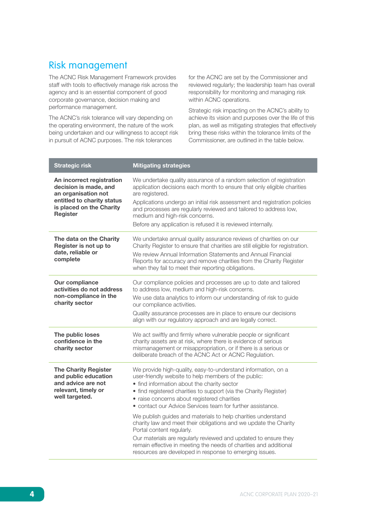### <span id="page-5-0"></span>Risk management

The ACNC Risk Management Framework provides staff with tools to effectively manage risk across the agency and is an essential component of good corporate governance, decision making and performance management.

The ACNC's risk tolerance will vary depending on the operating environment, the nature of the work being undertaken and our willingness to accept risk in pursuit of ACNC purposes. The risk tolerances

for the ACNC are set by the Commissioner and reviewed regularly; the leadership team has overall responsibility for monitoring and managing risk within ACNC operations.

Strategic risk impacting on the ACNC's ability to achieve its vision and purposes over the life of this plan, as well as mitigating strategies that effectively bring these risks within the tolerance limits of the Commissioner, are outlined in the table below.

| <b>Strategic risk</b>                                                                                              | <b>Mitigating strategies</b>                                                                                                                                                                                                                                                             |
|--------------------------------------------------------------------------------------------------------------------|------------------------------------------------------------------------------------------------------------------------------------------------------------------------------------------------------------------------------------------------------------------------------------------|
| An incorrect registration<br>decision is made, and<br>an organisation not                                          | We undertake quality assurance of a random selection of registration<br>application decisions each month to ensure that only eligible charities<br>are registered.                                                                                                                       |
| entitled to charity status<br>is placed on the Charity<br><b>Register</b>                                          | Applications undergo an initial risk assessment and registration policies<br>and processes are regularly reviewed and tailored to address low,<br>medium and high-risk concerns.                                                                                                         |
|                                                                                                                    | Before any application is refused it is reviewed internally.                                                                                                                                                                                                                             |
| The data on the Charity<br>Register is not up to<br>date, reliable or                                              | We undertake annual quality assurance reviews of charities on our<br>Charity Register to ensure that charities are still eligible for registration.<br>We review Annual Information Statements and Annual Financial                                                                      |
| complete                                                                                                           | Reports for accuracy and remove charities from the Charity Register<br>when they fail to meet their reporting obligations.                                                                                                                                                               |
| Our compliance<br>activities do not address                                                                        | Our compliance policies and processes are up to date and tailored<br>to address low, medium and high-risk concerns.                                                                                                                                                                      |
| non-compliance in the<br>charity sector                                                                            | We use data analytics to inform our understanding of risk to guide<br>our compliance activities.                                                                                                                                                                                         |
|                                                                                                                    | Quality assurance processes are in place to ensure our decisions<br>align with our regulatory approach and are legally correct.                                                                                                                                                          |
| The public loses<br>confidence in the<br>charity sector                                                            | We act swiftly and firmly where vulnerable people or significant<br>charity assets are at risk, where there is evidence of serious<br>mismanagement or misappropriation, or if there is a serious or<br>deliberate breach of the ACNC Act or ACNC Regulation.                            |
| <b>The Charity Register</b><br>and public education<br>and advice are not<br>relevant, timely or<br>well targeted. | We provide high-quality, easy-to-understand information, on a<br>user-friendly website to help members of the public:<br>• find information about the charity sector<br>• find registered charities to support (via the Charity Register)<br>· raise concerns about registered charities |
|                                                                                                                    | • contact our Advice Services team for further assistance.                                                                                                                                                                                                                               |
|                                                                                                                    | We publish guides and materials to help charities understand<br>charity law and meet their obligations and we update the Charity<br>Portal content regularly.                                                                                                                            |
|                                                                                                                    | Our materials are regularly reviewed and updated to ensure they<br>remain effective in meeting the needs of charities and additional<br>resources are developed in response to emerging issues.                                                                                          |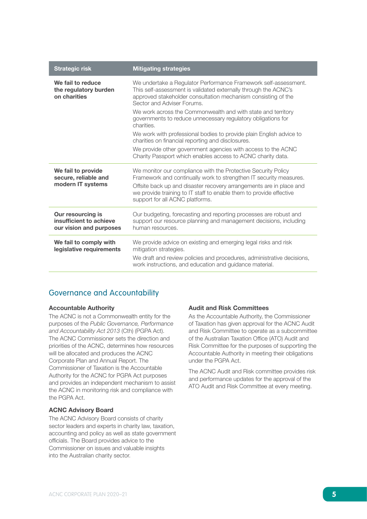| <b>Strategic risk</b>                                                   | <b>Mitigating strategies</b>                                                                                                                                                                                                      |  |  |  |
|-------------------------------------------------------------------------|-----------------------------------------------------------------------------------------------------------------------------------------------------------------------------------------------------------------------------------|--|--|--|
| We fail to reduce<br>the regulatory burden<br>on charities              | We undertake a Regulator Performance Framework self-assessment.<br>This self-assessment is validated externally through the ACNC's<br>approved stakeholder consultation mechanism consisting of the<br>Sector and Adviser Forums. |  |  |  |
|                                                                         | We work across the Commonwealth and with state and territory<br>governments to reduce unnecessary regulatory obligations for<br>charities.                                                                                        |  |  |  |
|                                                                         | We work with professional bodies to provide plain English advice to<br>charities on financial reporting and disclosures.                                                                                                          |  |  |  |
|                                                                         | We provide other government agencies with access to the ACNC<br>Charity Passport which enables access to ACNC charity data.                                                                                                       |  |  |  |
| We fail to provide<br>secure, reliable and                              | We monitor our compliance with the Protective Security Policy<br>Framework and continually work to strengthen IT security measures.                                                                                               |  |  |  |
| modern IT systems                                                       | Offsite back up and disaster recovery arrangements are in place and<br>we provide training to IT staff to enable them to provide effective<br>support for all ACNC platforms.                                                     |  |  |  |
| Our resourcing is<br>insufficient to achieve<br>our vision and purposes | Our budgeting, forecasting and reporting processes are robust and<br>support our resource planning and management decisions, including<br>human resources.                                                                        |  |  |  |
| We fail to comply with<br>legislative requirements                      | We provide advice on existing and emerging legal risks and risk<br>mitigation strategies.                                                                                                                                         |  |  |  |
|                                                                         | We draft and review policies and procedures, administrative decisions,<br>work instructions, and education and guidance material.                                                                                                 |  |  |  |

#### Governance and Accountability

#### Accountable Authority

The ACNC is not a Commonwealth entity for the purposes of the *Public Governance, Performance*  and Accountability Act 2013 (Cth) (PGPA Act). The ACNC Commissioner sets the direction and priorities of the ACNC, determines how resources will be allocated and produces the ACNC Corporate Plan and Annual Report. The Commissioner of Taxation is the Accountable Authority for the ACNC for PGPA Act purposes and provides an independent mechanism to assist the ACNC in monitoring risk and compliance with the PGPA Act.

#### ACNC Advisory Board

The ACNC Advisory Board consists of charity sector leaders and experts in charity law, taxation, accounting and policy as well as state government officials. The Board provides advice to the Commissioner on issues and valuable insights into the Australian charity sector.

#### Audit and Risk Committees

As the Accountable Authority, the Commissioner of Taxation has given approval for the ACNC Audit and Risk Committee to operate as a subcommittee of the Australian Taxation Office (ATO) Audit and Risk Committee for the purposes of supporting the Accountable Authority in meeting their obligations under the PGPA Act.

The ACNC Audit and Risk committee provides risk and performance updates for the approval of the ATO Audit and Risk Committee at every meeting.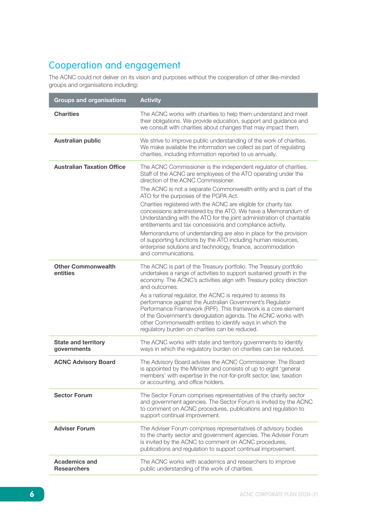### <span id="page-7-0"></span>Cooperation and engagement

The ACNC could not deliver on its vision and purposes without the cooperation of other like-minded groups and organisations including:

| <b>Groups and organisations</b>            | <b>Activity</b>                                                                                                                                                                                                                                                                                                                                                                                                                                                                                                                                                                                                                                                                                                                                                                             |
|--------------------------------------------|---------------------------------------------------------------------------------------------------------------------------------------------------------------------------------------------------------------------------------------------------------------------------------------------------------------------------------------------------------------------------------------------------------------------------------------------------------------------------------------------------------------------------------------------------------------------------------------------------------------------------------------------------------------------------------------------------------------------------------------------------------------------------------------------|
| <b>Charities</b>                           | The ACNC works with charities to help them understand and meet<br>their obligations. We provide education, support and guidance and<br>we consult with charities about changes that may impact them.                                                                                                                                                                                                                                                                                                                                                                                                                                                                                                                                                                                        |
| <b>Australian public</b>                   | We strive to improve public understanding of the work of charities.<br>We make available the information we collect as part of regulating<br>charities, including information reported to us annually.                                                                                                                                                                                                                                                                                                                                                                                                                                                                                                                                                                                      |
| <b>Australian Taxation Office</b>          | The ACNC Commissioner is the independent regulator of charities.<br>Staff of the ACNC are employees of the ATO operating under the<br>direction of the ACNC Commissioner.<br>The ACNC is not a separate Commonwealth entity and is part of the<br>ATO for the purposes of the PGPA Act.<br>Charities registered with the ACNC are eligible for charity tax<br>concessions administered by the ATO. We have a Memorandum of<br>Understanding with the ATO for the joint administration of charitable<br>entitlements and tax concessions and compliance activity.<br>Memorandums of understanding are also in place for the provision<br>of supporting functions by the ATO including human resources,<br>enterprise solutions and technology, finance, accommodation<br>and communications. |
| <b>Other Commonwealth</b><br>entities      | The ACNC is part of the Treasury portfolio. The Treasury portfolio<br>undertakes a range of activities to support sustained growth in the<br>economy. The ACNC's activities align with Treasury policy direction<br>and outcomes.<br>As a national regulator, the ACNC is required to assess its<br>performance against the Australian Government's Regulator<br>Performance Framework (RPF). This framework is a core element<br>of the Government's deregulation agenda. The ACNC works with<br>other Commonwealth entities to identify ways in which the<br>regulatory burden on charities can be reduced.                                                                                                                                                                               |
| <b>State and territory</b><br>governments  | The ACNC works with state and territory governments to identify<br>ways in which the regulatory burden on charities can be reduced.                                                                                                                                                                                                                                                                                                                                                                                                                                                                                                                                                                                                                                                         |
| <b>ACNC Advisory Board</b>                 | The Advisory Board advises the ACNC Commissioner. The Board<br>is appointed by the Minister and consists of up to eight 'general<br>members' with expertise in the not-for-profit sector, law, taxation<br>or accounting, and office holders.                                                                                                                                                                                                                                                                                                                                                                                                                                                                                                                                               |
| <b>Sector Forum</b>                        | The Sector Forum comprises representatives of the charity sector<br>and government agencies. The Sector Forum is invited by the ACNC<br>to comment on ACNC procedures, publications and regulation to<br>support continual improvement.                                                                                                                                                                                                                                                                                                                                                                                                                                                                                                                                                     |
| <b>Adviser Forum</b>                       | The Adviser Forum comprises representatives of advisory bodies<br>to the charity sector and government agencies. The Adviser Forum<br>is invited by the ACNC to comment on ACNC procedures,<br>publications and regulation to support continual improvement.                                                                                                                                                                                                                                                                                                                                                                                                                                                                                                                                |
| <b>Academics and</b><br><b>Researchers</b> | The ACNC works with academics and researchers to improve<br>public understanding of the work of charities.                                                                                                                                                                                                                                                                                                                                                                                                                                                                                                                                                                                                                                                                                  |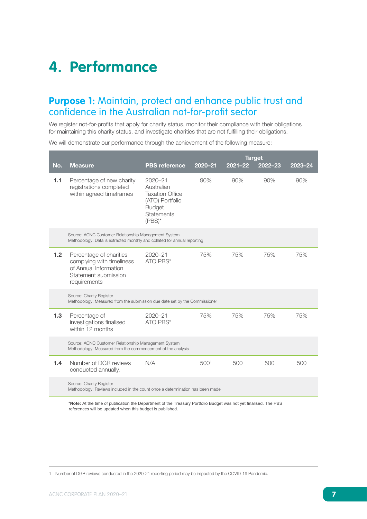## <span id="page-8-0"></span>**4. Performance**

### **Purpose 1:** Maintain, protect and enhance public trust and confidence in the Australian not-for-profit sector

We register not-for-profits that apply for charity status, monitor their compliance with their obligations for maintaining this charity status, and investigate charities that are not fulfilling their obligations.

We will demonstrate our performance through the achievement of the following measure:

|     |                                                                                                                                  |                                                                                                                           | <b>Target</b>    |             |         |         |
|-----|----------------------------------------------------------------------------------------------------------------------------------|---------------------------------------------------------------------------------------------------------------------------|------------------|-------------|---------|---------|
| No. | <b>Measure</b>                                                                                                                   | <b>PBS</b> reference                                                                                                      | $2020 - 21$      | $2021 - 22$ | 2022-23 | 2023-24 |
| 1.1 | Percentage of new charity<br>registrations completed<br>within agreed timeframes                                                 | $2020 - 21$<br>Australian<br><b>Taxation Office</b><br>(ATO) Portfolio<br><b>Budget</b><br><b>Statements</b><br>$(PBS)^*$ | 90%              | 90%         | 90%     | 90%     |
|     | Source: ACNC Customer Relationship Management System<br>Methodology: Data is extracted monthly and collated for annual reporting |                                                                                                                           |                  |             |         |         |
| 1.2 | Percentage of charities<br>complying with timeliness<br>of Annual Information<br>Statement submission<br>requirements            | $2020 - 21$<br>ATO PBS*                                                                                                   |                  | 75%         | 75%     | 75%     |
|     | Source: Charity Register<br>Methodology: Measured from the submission due date set by the Commissioner                           |                                                                                                                           |                  |             |         |         |
| 1.3 | Percentage of<br>investigations finalised<br>within 12 months                                                                    | $2020 - 21$<br>ATO PBS*                                                                                                   | 75%              | 75%         | 75%     | 75%     |
|     | Source: ACNC Customer Relationship Management System<br>Methodology: Measured from the commencement of the analysis              |                                                                                                                           |                  |             |         |         |
| 1.4 | Number of DGR reviews<br>conducted annually.                                                                                     | N/A                                                                                                                       | 500 <sup>1</sup> | 500         | 500     | 500     |
|     | Source: Charity Register<br>Methodology: Reviews included in the count once a determination has been made                        |                                                                                                                           |                  |             |         |         |

**\*Note:** At the time of publication the Department of the Treasury Portfolio Budget was not yet finalised. The PBS references will be updated when this budget is published.

<sup>1</sup> Number of DGR reviews conducted in the 2020-21 reporting period may be impacted by the COVID-19 Pandemic.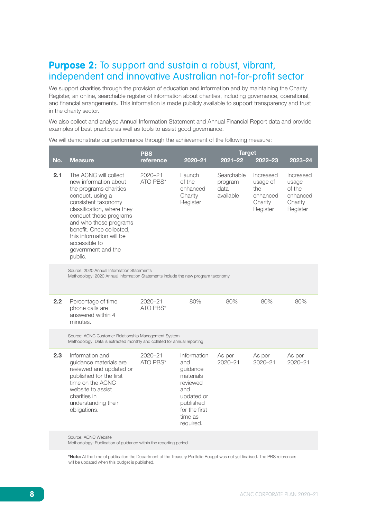### <span id="page-9-0"></span>**Purpose 2:** To support and sustain a robust, vibrant, independent and innovative Australian not-for-profit sector

We support charities through the provision of education and information and by maintaining the Charity Register, an online, searchable register of information about charities, including governance, operational, and financial arrangements. This information is made publicly available to support transparency and trust in the charity sector.

We also collect and analyse Annual Information Statement and Annual Financial Report data and provide examples of best practice as well as tools to assist good governance.

We will demonstrate our performance through the achievement of the following measure:

| No. | <b>Measure</b>                                                                                                                                                                                                                                                                                                  | <b>PBS</b><br>reference | $2020 - 21$                                                                                                                        | <b>Target</b><br>$2021 - 22$               | $2022 - 23$                                                     | 2023-24                                                         |
|-----|-----------------------------------------------------------------------------------------------------------------------------------------------------------------------------------------------------------------------------------------------------------------------------------------------------------------|-------------------------|------------------------------------------------------------------------------------------------------------------------------------|--------------------------------------------|-----------------------------------------------------------------|-----------------------------------------------------------------|
| 2.1 | The ACNC will collect<br>new information about<br>the programs charities<br>conduct, using a<br>consistent taxonomy<br>classification, where they<br>conduct those programs<br>and who those programs<br>benefit. Once collected,<br>this information will be<br>accessible to<br>government and the<br>public. | $2020 - 21$<br>ATO PBS* | Launch<br>of the<br>enhanced<br>Charity<br>Register                                                                                | Searchable<br>program<br>data<br>available | Increased<br>usage of<br>the<br>enhanced<br>Charity<br>Register | Increased<br>usage<br>of the<br>enhanced<br>Charity<br>Register |
|     | Source: 2020 Annual Information Statements<br>Methodology: 2020 Annual Information Statements include the new program taxonomy                                                                                                                                                                                  |                         |                                                                                                                                    |                                            |                                                                 |                                                                 |
| 2.2 | Percentage of time<br>phone calls are<br>answered within 4<br>minutes.                                                                                                                                                                                                                                          | 2020-21<br>ATO PBS*     | 80%                                                                                                                                | 80%                                        | 80%                                                             | 80%                                                             |
|     | Source: ACNC Customer Relationship Management System<br>Methodology: Data is extracted monthly and collated for annual reporting                                                                                                                                                                                |                         |                                                                                                                                    |                                            |                                                                 |                                                                 |
| 2.3 | Information and<br>guidance materials are<br>reviewed and updated or<br>published for the first<br>time on the ACNC<br>website to assist<br>charities in<br>understanding their<br>obligations.                                                                                                                 | 2020-21<br>ATO PBS*     | Information<br>and<br>guidance<br>materials<br>reviewed<br>and<br>updated or<br>published<br>for the first<br>time as<br>required. | As per<br>2020-21                          | As per<br>2020-21                                               | As per<br>2020-21                                               |
|     | Source: ACNC Website                                                                                                                                                                                                                                                                                            |                         |                                                                                                                                    |                                            |                                                                 |                                                                 |

Methodology: Publication of guidance within the reporting period

\*Note: At the time of publication the Department of the Treasury Portfolio Budget was not yet finalised. The PBS references will be updated when this budget is published.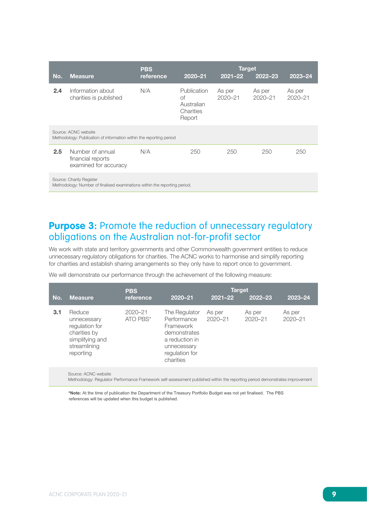<span id="page-10-0"></span>

|                                                                                                        |                                                                                             | <b>Target</b><br><b>PBS</b> |                                                        |                       |                       |                       |  |
|--------------------------------------------------------------------------------------------------------|---------------------------------------------------------------------------------------------|-----------------------------|--------------------------------------------------------|-----------------------|-----------------------|-----------------------|--|
| No.                                                                                                    | <b>Measure</b>                                                                              | reference                   | 2020-21                                                | $2021 - 22$           | 2022-23               | 2023-24               |  |
| 2.4                                                                                                    | Information about<br>charities is published                                                 | N/A                         | Publication<br>Ωf<br>Australian<br>Charities<br>Report | As per<br>$2020 - 21$ | As per<br>$2020 - 21$ | As per<br>$2020 - 21$ |  |
|                                                                                                        | Source: ACNC website<br>Methodology: Publication of information within the reporting period |                             |                                                        |                       |                       |                       |  |
| 2.5                                                                                                    | Number of annual<br>financial reports<br>examined for accuracy                              | N/A                         | 250                                                    | 250                   | 250                   | 250                   |  |
| Source: Charity Register<br>Methodology: Number of finalised examinations within the reporting period. |                                                                                             |                             |                                                        |                       |                       |                       |  |

### **Purpose 3:** Promote the reduction of unnecessary regulatory obligations on the Australian not-for-profit sector

We work with state and territory governments and other Commonwealth government entities to reduce unnecessary regulatory obligations for charities. The ACNC works to harmonise and simplify reporting for charities and establish sharing arrangements so they only have to report once to government.

We will demonstrate our performance through the achievement of the following measure:

| No. | <b>Measure</b>                                                                                          | <b>PBS</b><br>reference | 2020-21                                                                                                                   | <b>Target</b><br>$2021 - 22$ | 2022-23               | $2023 - 24$           |
|-----|---------------------------------------------------------------------------------------------------------|-------------------------|---------------------------------------------------------------------------------------------------------------------------|------------------------------|-----------------------|-----------------------|
| 3.1 | Reduce<br>unnecessary<br>regulation for<br>charities by<br>simplifying and<br>streamlining<br>reporting | $2020 - 21$<br>ATO PBS* | The Regulator<br>Performance<br>Framework<br>demonstrates<br>a reduction in<br>unnecessary<br>regulation for<br>charities | As per<br>2020-21            | As per<br>$2020 - 21$ | As per<br>$2020 - 21$ |

Source: ACNC website

Methodology: Regulator Performance Framework self-assessment published within the reporting period demonstrates improvement

\***Note:** At the time of publication the Department of the Treasury Portfolio Budget was not yet finalised. The PBS references will be updated when this budget is published.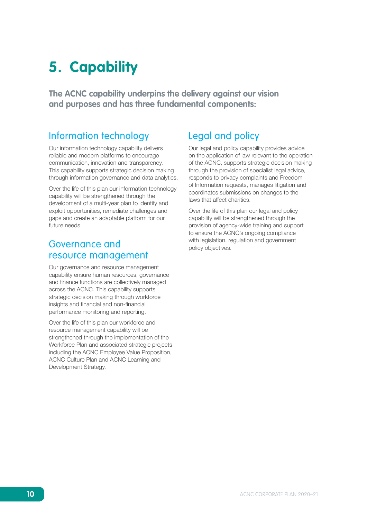## <span id="page-11-0"></span>**5. Capability**

**The ACNC capability underpins the delivery against our vision and purposes and has three fundamental components:**

### Information technology

Our information technology capability delivers reliable and modern platforms to encourage communication, innovation and transparency. This capability supports strategic decision making through information governance and data analytics.

Over the life of this plan our information technology capability will be strengthened through the development of a multi-year plan to identify and exploit opportunities, remediate challenges and gaps and create an adaptable platform for our future needs.

### Governance and resource management

Our governance and resource management capability ensure human resources, governance and finance functions are collectively managed across the ACNC. This capability supports strategic decision making through workforce insights and financial and non-financial performance monitoring and reporting.

Over the life of this plan our workforce and resource management capability will be strengthened through the implementation of the Workforce Plan and associated strategic projects including the ACNC Employee Value Proposition, ACNC Culture Plan and ACNC Learning and Development Strategy.

### Legal and policy

Our legal and policy capability provides advice on the application of law relevant to the operation of the ACNC, supports strategic decision making through the provision of specialist legal advice, responds to privacy complaints and Freedom of Information requests, manages litigation and coordinates submissions on changes to the laws that affect charities.

Over the life of this plan our legal and policy capability will be strengthened through the provision of agency-wide training and support to ensure the ACNC's ongoing compliance with legislation, regulation and government policy objectives.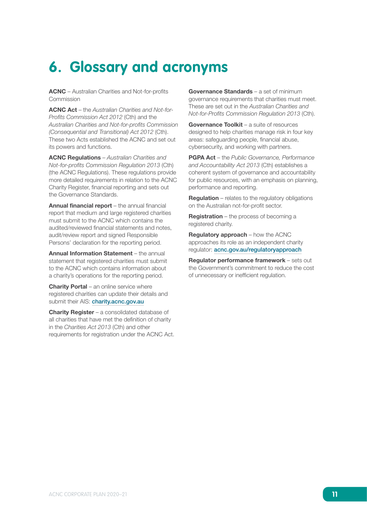## <span id="page-12-0"></span>**6. Glossary and acronyms**

ACNC – Australian Charities and Not-for-profits Commission

ACNC Act – the *Australian Charities and Not-for-*Profits Commission Act 2012 (Cth) and the *Australian Charities and Not-for-profits Commission*  (Consequential and Transitional) Act 2012 (Cth). These two Acts established the ACNC and set out its powers and functions.

ACNC Regulations – *Australian Charities and*  Not-for-profits Commission Regulation 2013 (Cth) (the ACNC Regulations). These regulations provide more detailed requirements in relation to the ACNC Charity Register, financial reporting and sets out the Governance Standards.

Annual financial report – the annual financial report that medium and large registered charities must submit to the ACNC which contains the audited/reviewed financial statements and notes, audit/review report and signed Responsible Persons' declaration for the reporting period.

Annual Information Statement - the annual statement that registered charities must submit to the ACNC which contains information about a charity's operations for the reporting period.

**Charity Portal** – an online service where registered charities can update their details and submit their AIS: [charity.acnc.gov.au](https://charity.acnc.gov.au)

**Charity Register** – a consolidated database of all charities that have met the definition of charity in the Charities Act 2013 (Cth) and other requirements for registration under the ACNC Act.

Governance Standards - a set of minimum governance requirements that charities must meet. These are set out in the *Australian Charities and*  Not-for-Profits Commission Regulation 2013 (Cth).

Governance Toolkit – a suite of resources designed to help charities manage risk in four key areas: safeguarding people, financial abuse, cybersecurity, and working with partners.

PGPA Act – the *Public Governance, Performance*  and Accountability Act 2013 (Cth) establishes a coherent system of governance and accountability for public resources, with an emphasis on planning, performance and reporting.

Regulation – relates to the regulatory obligations on the Australian not-for-profit sector.

Registration – the process of becoming a registered charity.

Regulatory approach – how the ACNC approaches its role as an independent charity regulator: [acnc.gov.au/regulatoryapproach](http://www.acnc.gov.au/regulatoryapproach)

Regulator performance framework – sets out the Government's commitment to reduce the cost of unnecessary or inefficient regulation.